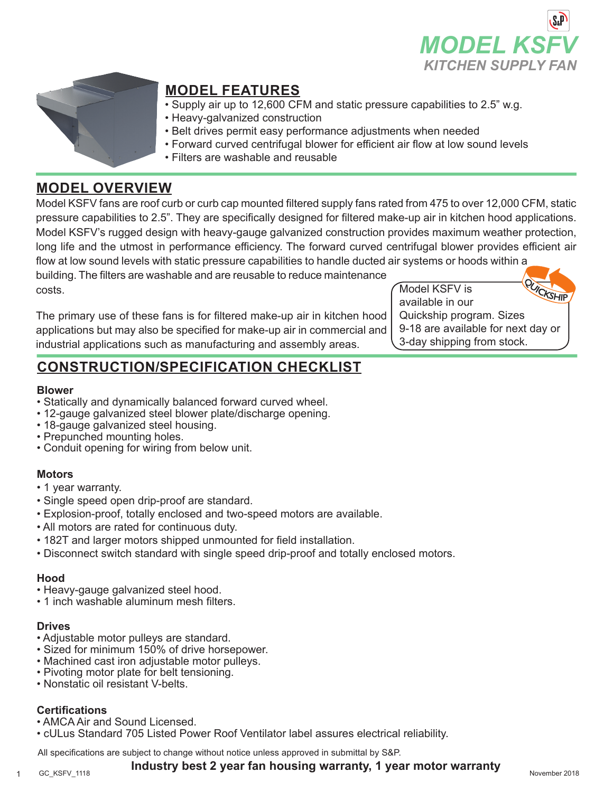



## **MODEL FEATURES**

- Supply air up to 12,600 CFM and static pressure capabilities to 2.5" w.g.
- Heavy-galvanized construction
- Belt drives permit easy performance adjustments when needed
- Forward curved centrifugal blower for efficient air flow at low sound levels
- Filters are washable and reusable

## **MODEL OVERVIEW**

Model KSFV fans are roof curb or curb cap mounted filtered supply fans rated from 475 to over 12,000 CFM, static pressure capabilities to 2.5". They are specifically designed for filtered make-up air in kitchen hood applications. Model KSFV's rugged design with heavy-gauge galvanized construction provides maximum weather protection, long life and the utmost in performance efficiency. The forward curved centrifugal blower provides efficient air flow at low sound levels with static pressure capabilities to handle ducted air systems or hoods within a

building. The filters are washable and are reusable to reduce maintenance costs.

The primary use of these fans is for filtered make-up air in kitchen hood applications but may also be specified for make-up air in commercial and industrial applications such as manufacturing and assembly areas.

Model KSFV is available in our Quickship program. Sizes 9-18 are available for next day or 3-day shipping from stock.

# **CONSTRUCTION/SPECIFICATION CHECKLIST**

#### **Blower**

- Statically and dynamically balanced forward curved wheel.
- 12-gauge galvanized steel blower plate/discharge opening.
- 18-gauge galvanized steel housing.
- Prepunched mounting holes.
- Conduit opening for wiring from below unit.

### **Motors**

- 1 year warranty.
- Single speed open drip-proof are standard.
- Explosion-proof, totally enclosed and two-speed motors are available.
- All motors are rated for continuous duty.
- 182T and larger motors shipped unmounted for field installation.
- Disconnect switch standard with single speed drip-proof and totally enclosed motors.

#### **Hood**

- Heavy-gauge galvanized steel hood.
- 1 inch washable aluminum mesh filters.

#### **Drives**

- Adjustable motor pulleys are standard.
- Sized for minimum 150% of drive horsepower.
- Machined cast iron adjustable motor pulleys.
- Pivoting motor plate for belt tensioning.
- Nonstatic oil resistant V-belts.

#### **Certifications**

- AMCA Air and Sound Licensed.
- cULus Standard 705 Listed Power Roof Ventilator label assures electrical reliability.

All specifications are subject to change without notice unless approved in submittal by S&P.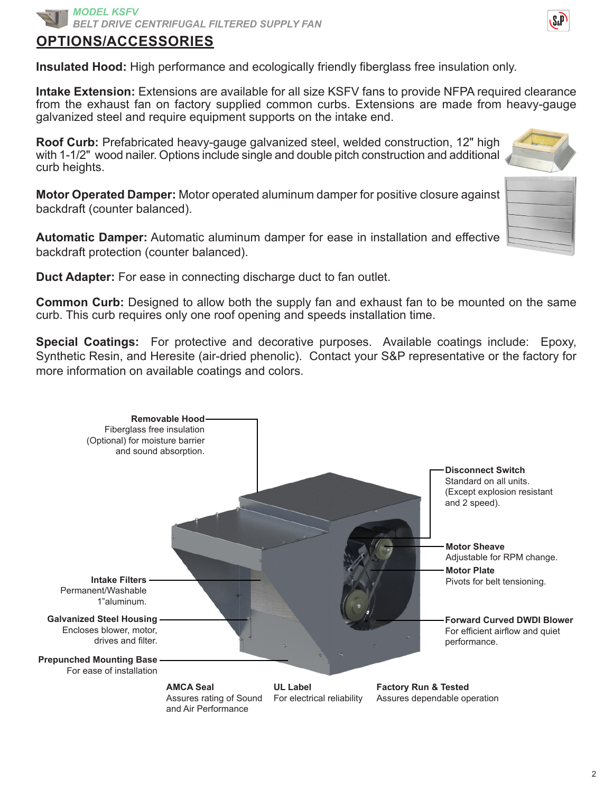

### **OPTIONS/ACCESSORIES**

**Insulated Hood:** High performance and ecologically friendly fiberglass free insulation only.

**Intake Extension:** Extensions are available for all size KSFV fans to provide NFPA required clearance from the exhaust fan on factory supplied common curbs. Extensions are made from heavy-gauge galvanized steel and require equipment supports on the intake end.

**Roof Curb:** Prefabricated heavy-gauge galvanized steel, welded construction, 12" high with 1-1/2" wood nailer. Options include single and double pitch construction and additional curb heights.

**Motor Operated Damper:** Motor operated aluminum damper for positive closure against backdraft (counter balanced).

**Automatic Damper:** Automatic aluminum damper for ease in installation and effective backdraft protection (counter balanced).

**Duct Adapter:** For ease in connecting discharge duct to fan outlet.

**Common Curb:** Designed to allow both the supply fan and exhaust fan to be mounted on the same curb. This curb requires only one roof opening and speeds installation time.

**Special Coatings:** For protective and decorative purposes. Available coatings include: Epoxy, Synthetic Resin, and Heresite (air-dried phenolic). Contact your S&P representative or the factory for more information on available coatings and colors.



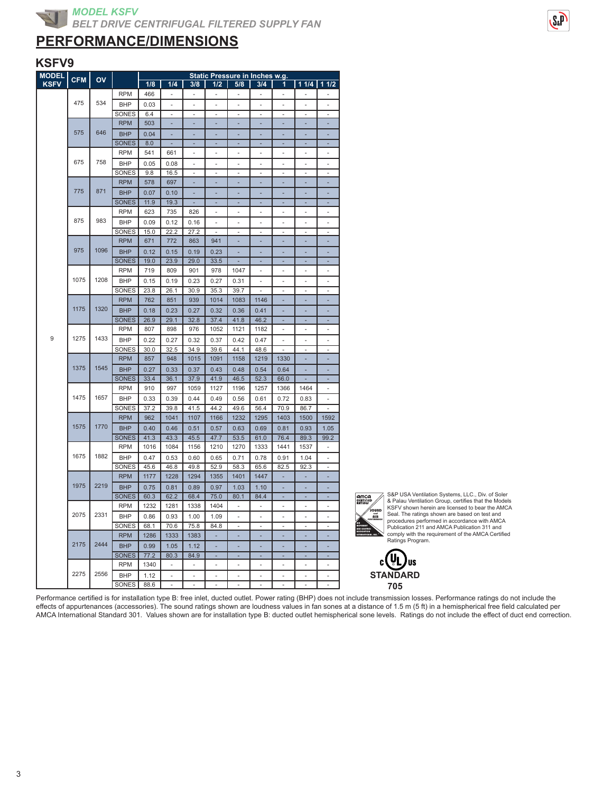## **PERFORMANCE/DIMENSIONS**

#### **KSFV9**

| <b>MODEL</b> | <b>CFM</b> | OV   |              |      |                          |                          |                          |      | Static Pressure in Inches w.g. |                          |            |                          |
|--------------|------------|------|--------------|------|--------------------------|--------------------------|--------------------------|------|--------------------------------|--------------------------|------------|--------------------------|
| <b>KSFV</b>  |            |      |              | 1/8  | 1/4                      | 3/8                      | 1/2                      | 5/8  | 3/4                            | 1                        | $11/4$ 1/4 |                          |
|              |            |      | <b>RPM</b>   | 466  | $\overline{\phantom{a}}$ | ä,                       | ä,                       | ÷,   |                                | ÷,                       |            |                          |
|              | 475        | 534  | <b>BHP</b>   | 0.03 | ÷                        | ÷,                       | ÷,                       | ÷,   | i,                             | ÷,                       | Ĭ.         | L,                       |
|              |            |      | SONES        | 6.4  | ٠                        |                          | ٠                        | ٠    |                                | ä,                       |            | $\overline{\phantom{m}}$ |
|              |            |      | <b>RPM</b>   | 503  |                          |                          |                          |      |                                |                          |            |                          |
|              | 575        | 646  | <b>BHP</b>   | 0.04 |                          |                          |                          |      |                                |                          |            |                          |
|              |            |      | <b>SONES</b> | 8.0  |                          |                          |                          |      |                                |                          |            |                          |
|              |            |      | <b>RPM</b>   | 541  | 661                      | $\overline{\phantom{a}}$ | $\overline{\phantom{a}}$ | ÷    | ÷                              | $\blacksquare$           | ÷          | ä,                       |
|              | 675        | 758  | <b>BHP</b>   | 0.05 | 0.08                     | ä,                       | ٠                        | ä,   | ä,                             | ä,                       | ä,         | ä,                       |
|              |            |      | SONES        | 9.8  | 16.5                     | ÷,                       | ÷                        | ÷    | L,                             | ÷,                       | ä,         | ÷,                       |
|              |            |      | <b>RPM</b>   | 578  | 697                      |                          |                          |      |                                |                          |            |                          |
|              | 775        | 871  | <b>BHP</b>   | 0.07 | 0.10                     |                          |                          |      |                                |                          |            |                          |
|              |            |      | <b>SONES</b> | 11.9 | 19.3                     |                          |                          |      |                                |                          |            |                          |
|              |            |      | <b>RPM</b>   | 623  | 735                      | 826                      |                          | ä,   | i.                             | i.                       | ÷,         | ä,                       |
|              | 875        | 983  | <b>BHP</b>   | 0.09 | 0.12                     | 0.16                     |                          | ä,   | ä,                             | ä,                       |            | ä,                       |
|              |            |      | SONES        | 15.0 | 22.2                     | 27.2                     | ×,                       | ÷,   | ÷,                             | ä,                       | ÷,         | $\overline{\phantom{a}}$ |
|              |            |      | <b>RPM</b>   | 671  | 772                      | 863                      | 941                      | ä,   | ä,                             | ä,                       | ä,         | ä,                       |
|              | 975        | 1096 |              |      |                          |                          |                          |      |                                |                          |            |                          |
|              |            |      | <b>BHP</b>   | 0.12 | 0.15                     | 0.19                     | 0.23                     | í.   |                                |                          |            | L.                       |
|              |            |      | <b>SONES</b> | 19.0 | 23.9                     | 29.0                     | 33.5                     |      |                                |                          |            |                          |
|              | 1075       | 1208 | <b>RPM</b>   | 719  | 809                      | 901                      | 978                      | 1047 | i.                             | ÷,                       | ä,         | ä,                       |
|              |            |      | <b>BHP</b>   | 0.15 | 0.19                     | 0.23                     | 0.27                     | 0.31 | ٠                              | ٠                        | ٠          | ä,                       |
|              |            |      | SONES        | 23.8 | 26.1                     | 30.9                     | 35.3                     | 39.7 | ä,                             | $\overline{\phantom{a}}$ | ÷,         | $\overline{\phantom{a}}$ |
|              |            |      | <b>RPM</b>   | 762  | 851                      | 939                      | 1014                     | 1083 | 1146                           |                          |            |                          |
|              | 1175       | 1320 | <b>BHP</b>   | 0.18 | 0.23                     | 0.27                     | 0.32                     | 0.36 | 0.41                           | ä,                       |            | ٠                        |
|              |            |      | <b>SONES</b> | 26.9 | 29.1                     | 32.8                     | 37.4                     | 41.8 | 46.2                           | L,                       |            | L.                       |
|              |            |      | <b>RPM</b>   | 807  | 898                      | 976                      | 1052                     | 1121 | 1182                           | i.                       | ÷,         | ÷,                       |
| 9            | 1275       | 1433 | <b>BHP</b>   | 0.22 | 0.27                     | 0.32                     | 0.37                     | 0.42 | 0.47                           | ä,                       | ÷.         | ä,                       |
|              |            |      | SONES        | 30.0 | 32.5                     | 34.9                     | 39.6                     | 44.1 | 48.6                           | ÷,                       | ÷,         | ä,                       |
|              |            |      | <b>RPM</b>   | 857  | 948                      | 1015                     | 1091                     | 1158 | 1219                           | 1330                     |            |                          |
|              | 1375       | 1545 | <b>BHP</b>   | 0.27 | 0.33                     | 0.37                     | 0.43                     | 0.48 | 0.54                           | 0.64                     |            |                          |
|              |            |      | <b>SONES</b> | 33.4 | 36.1                     | 37.9                     | 41.9                     | 46.5 | 52.3                           | 66.0                     |            | ä,                       |
|              |            |      | <b>RPM</b>   | 910  | 997                      | 1059                     | 1127                     | 1196 | 1257                           | 1366                     | 1464       | ä,                       |
|              | 1475       | 1657 | <b>BHP</b>   | 0.33 | 0.39                     | 0.44                     | 0.49                     | 0.56 | 0.61                           | 0.72                     | 0.83       | ٠                        |
|              |            |      | SONES        | 37.2 | 39.8                     | 41.5                     | 44.2                     | 49.6 | 56.4                           | 70.9                     | 86.7       | ä,                       |
|              |            |      | <b>RPM</b>   | 962  | 1041                     | 1107                     | 1166                     | 1232 | 1295                           | 1403                     | 1500       | 1592                     |
|              | 1575       | 1770 | <b>BHP</b>   | 0.40 | 0.46                     | 0.51                     | 0.57                     | 0.63 | 0.69                           | 0.81                     | 0.93       | 1.05                     |
|              |            |      | <b>SONES</b> | 41.3 | 43.3                     | 45.5                     | 47.7                     | 53.5 | 61.0                           | 76.4                     | 89.3       | 99.2                     |
|              |            |      | <b>RPM</b>   | 1016 | 1084                     | 1156                     | 1210                     | 1270 | 1333                           | 1441                     | 1537       | ä,                       |
|              | 1675       | 1882 | <b>BHP</b>   | 0.47 | 0.53                     | 0.60                     | 0.65                     | 0.71 | 0.78                           | 0.91                     | 1.04       | L.                       |
|              |            |      | SONES        | 45.6 | 46.8                     | 49.8                     | 52.9                     | 58.3 | 65.6                           | 82.5                     | 92.3       | $\blacksquare$           |
|              |            |      | <b>RPM</b>   | 1177 | 1228                     | 1294                     | 1355                     | 1401 | 1447                           | ٠                        | ٠          |                          |
|              | 1975       | 2219 | <b>BHP</b>   | 0.75 | 0.81                     | 0.89                     | 0.97                     | 1.03 | 1.10                           |                          |            | ٠                        |
|              |            |      | <b>SONES</b> | 60.3 | 62.2                     | 68.4                     | 75.0                     | 80.1 | 84.4                           |                          |            |                          |
|              |            |      | <b>RPM</b>   | 1232 | 1281                     | 1338                     | 1404                     | ä,   | ä,                             | ÷,                       | ÷.         | $\overline{a}$           |
|              | 2075       | 2331 | <b>BHP</b>   | 0.86 | 0.93                     | 1.00                     | 1.09                     | ä,   | ä,                             | ä,                       | ÷.         | ÷                        |
|              |            |      | SONES        | 68.1 | 70.6                     | 75.8                     | 84.8                     | ÷    | ÷,                             | ÷,                       | ÷,         | ÷,                       |
|              |            |      | <b>RPM</b>   | 1286 | 1333                     | 1383                     |                          |      |                                |                          |            |                          |
|              | 2175       | 2444 | <b>BHP</b>   | 0.99 | 1.05                     | 1.12                     | ÷,                       | ä,   | ä,                             | ä,                       | ä,         | ÷                        |
|              |            |      | <b>SONES</b> | 77.2 | 80.3                     | 84.9                     |                          |      |                                |                          |            |                          |
|              |            |      | <b>RPM</b>   | 1340 |                          |                          |                          |      |                                |                          |            | ٠                        |
|              | 2275       | 2556 |              |      |                          |                          |                          |      |                                |                          |            |                          |
|              |            |      | <b>BHP</b>   | 1.12 | ä,                       |                          |                          |      |                                |                          |            | ä,                       |
|              |            |      | SONES        | 88.6 | ÷,                       | ä,                       | ÷,                       | ÷,   | ÷,                             | ä,                       | ä,         | ÷,                       |



S&P USA Ventilation Systems, LLC., Div. of Soler & Palau Ventilation Group, certifies that the Models KSFV shown herein are licensed to bear the AMCA Seal. The ratings shown are based on test and procedures performed in accordance with AMCA Publication 211 and AMCA Publication 311 and comply with the requirement of the AMCA Certified Ratings Program.



Performance certified is for installation type B: free inlet, ducted outlet. Power rating (BHP) does not include transmission losses. Performance ratings do not include the effects of appurtenances (accessories). The sound ratings shown are loudness values in fan sones at a distance of 1.5 m (5 ft) in a hemispherical free field calculated per AMCA International Standard 301. Values shown are for installation type B: ducted outlet hemispherical sone levels. Ratings do not include the effect of duct end correction.

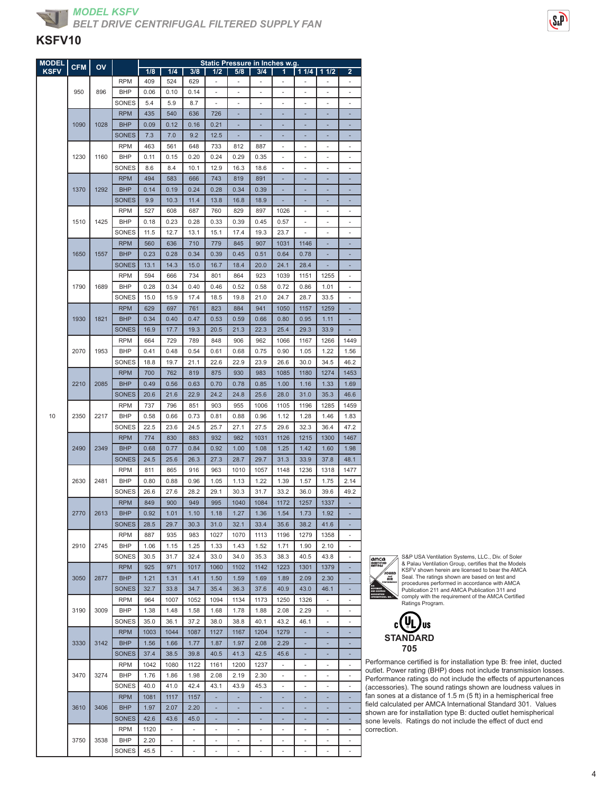| <b>MODEL</b> | <b>CFM</b> | OV   |                          |              |                |                          |             | Static Pressure in Inches w.g. |                          |                          |               |                          |                          |
|--------------|------------|------|--------------------------|--------------|----------------|--------------------------|-------------|--------------------------------|--------------------------|--------------------------|---------------|--------------------------|--------------------------|
| <b>KSFV</b>  |            |      |                          | 1/8          | 1/4            | 3/8                      | 1/2         | 5/8                            | 3/4                      | 1                        | $11/4$   11/2 |                          | 2                        |
|              |            |      | <b>RPM</b>               | 409          | 524            | 629                      | ٠           | ٠                              | ٠                        | ٠                        |               |                          |                          |
|              | 950        | 896  | <b>BHP</b>               | 0.06         | 0.10           | 0.14                     |             |                                |                          |                          |               |                          |                          |
|              |            |      | SONES                    | 5.4          | 5.9            | 8.7                      | ÷           | ÷,                             | ä,                       | ÷,                       | ÷,            | ÷,                       | ÷,                       |
|              | 1090       | 1028 | <b>RPM</b><br><b>BHP</b> | 435<br>0.09  | 540<br>0.12    | 636<br>0.16              | 726<br>0.21 |                                | ä,                       |                          | Ē.            | ä,                       |                          |
|              |            |      | <b>SONES</b>             | 7.3          | 7.0            | 9.2                      | 12.5        |                                |                          |                          |               |                          |                          |
|              |            |      | <b>RPM</b>               | 463          | 561            | 648                      | 733         | 812                            | 887                      |                          |               | ٠                        |                          |
|              | 1230       | 1160 | <b>BHP</b>               | 0.11         | 0.15           | 0.20                     | 0.24        | 0.29                           | 0.35                     | ÷                        | ÷,            | ä,                       | ÷,                       |
|              |            |      | SONES                    | 8.6          | 8.4            | 10.1                     | 12.9        | 16.3                           | 18.6                     | ×,                       | ÷,            | ä,                       | $\sim$                   |
|              |            |      | <b>RPM</b>               | 494          | 583            | 666                      | 743         | 819                            | 891                      |                          |               |                          |                          |
|              | 1370       | 1292 | <b>BHP</b>               | 0.14         | 0.19           | 0.24                     | 0.28        | 0.34                           | 0.39                     |                          |               |                          |                          |
|              |            |      | <b>SONES</b>             | 9.9          | 10.3           | 11.4                     | 13.8        | 16.8                           | 18.9                     |                          |               |                          |                          |
|              |            |      | <b>RPM</b>               | 527          | 608            | 687                      | 760         | 829                            | 897                      | 1026                     | ÷,            | ÷,                       | ÷,                       |
|              | 1510       | 1425 | <b>BHP</b>               | 0.18         | 0.23           | 0.28                     | 0.33        | 0.39                           | 0.45                     | 0.57                     | ÷,            | $\frac{1}{2}$            | $\overline{\phantom{a}}$ |
|              |            |      | SONES                    | 11.5         | 12.7           | 13.1                     | 15.1        | 17.4                           | 19.3                     | 23.7                     |               |                          |                          |
|              |            |      | <b>RPM</b>               | 560          | 636            | 710                      | 779         | 845                            | 907                      | 1031                     | 1146          |                          |                          |
|              | 1650       | 1557 | <b>BHP</b>               | 0.23         | 0.28           | 0.34                     | 0.39        | 0.45                           | 0.51                     | 0.64                     | 0.78          |                          |                          |
|              |            |      | <b>SONES</b>             | 13.1         | 14.3           | 15.0                     | 16.7        | 18.4                           | 20.0                     | 24.1                     | 28.4          |                          |                          |
|              |            |      | <b>RPM</b>               | 594          | 666            | 734                      | 801         | 864                            | 923                      | 1039                     | 1151          | 1255                     | $\overline{\phantom{a}}$ |
|              | 1790       | 1689 | <b>BHP</b>               | 0.28         | 0.34           | 0.40                     | 0.46        | 0.52                           | 0.58                     | 0.72                     | 0.86          | 1.01                     |                          |
|              |            |      | <b>SONES</b>             | 15.0         | 15.9           | 17.4                     | 18.5        | 19.8                           | 21.0                     | 24.7                     | 28.7          | 33.5                     |                          |
|              |            |      | <b>RPM</b>               | 629          | 697            | 761                      | 823         | 884                            | 941                      | 1050                     | 1157          | 1259                     |                          |
|              | 1930       | 1821 | <b>BHP</b>               | 0.34         | 0.40           | 0.47                     | 0.53        | 0.59                           | 0.66                     | 0.80                     | 0.95          | 1.11                     |                          |
|              |            |      | <b>SONES</b>             | 16.9         | 17.7           | 19.3                     | 20.5        | 21.3                           | 22.3                     | 25.4                     | 29.3          | 33.9                     |                          |
|              |            |      | <b>RPM</b>               | 664          | 729            | 789                      | 848         | 906                            | 962                      | 1066                     | 1167          | 1266                     | 1449                     |
|              | 2070       | 1953 | <b>BHP</b>               | 0.41         | 0.48           | 0.54                     | 0.61        | 0.68                           | 0.75                     | 0.90                     | 1.05          | 1.22                     | 1.56                     |
|              |            |      | SONES                    | 18.8         | 19.7           | 21.1                     | 22.6        | 22.9                           | 23.9                     | 26.6                     | 30.0          | 34.5                     | 46.2                     |
|              |            |      | <b>RPM</b>               | 700          | 762            | 819                      | 875         | 930                            | 983                      | 1085                     | 1180          | 1274                     | 1453                     |
|              | 2210       | 2085 | <b>BHP</b>               | 0.49         | 0.56           | 0.63                     | 0.70        | 0.78                           | 0.85                     | 1.00                     | 1.16          | 1.33                     | 1.69                     |
|              |            |      | <b>SONES</b>             | 20.6         | 21.6           | 22.9                     | 24.2        | 24.8                           | 25.6                     | 28.0                     | 31.0          | 35.3                     | 46.6                     |
|              |            |      | <b>RPM</b>               | 737          | 796            | 851                      | 903         | 955                            | 1006                     | 1105                     | 1196          | 1285                     | 1459                     |
| 10           | 2350       | 2217 | BHP                      | 0.58         | 0.66           | 0.73                     | 0.81        | 0.88                           | 0.96                     | 1.12                     | 1.28          | 1.46                     | 1.83                     |
|              |            |      | SONES                    | 22.5         | 23.6           | 24.5                     | 25.7        | 27.1                           | 27.5                     | 29.6                     | 32.3          | 36.4                     | 47.2                     |
|              |            |      | <b>RPM</b>               | 774          | 830            | 883                      | 932         | 982                            | 1031                     | 1126                     | 1215          | 1300                     | 1467                     |
|              | 2490       | 2349 | <b>BHP</b>               | 0.68         | 0.77           | 0.84                     | 0.92        | 1.00                           | 1.08                     | 1.25                     | 1.42          | 1.60                     | 1.98                     |
|              |            |      | <b>SONES</b>             | 24.5         | 25.6           | 26.3                     | 27.3        | 28.7                           | 29.7                     | 31.3                     | 33.9          | 37.8                     | 48.1                     |
|              |            |      | <b>RPM</b>               | 811          | 865            | 916                      | 963         | 1010                           | 1057                     | 1148                     | 1236          | 1318                     | 1477                     |
|              | 2630       | 2481 | <b>BHP</b>               | 0.80         | 0.88           | 0.96                     | 1.05        | 1.13                           | 1.22                     | 1.39                     | 1.57          | 1.75                     | 2.14                     |
|              |            |      | SONES                    | 26.6         | 27.6           | 28.2                     | 29.1        | 30.3                           | 31.7                     | 33.2                     | 36.0          | 39.6                     | 49.2                     |
|              |            |      | <b>RPM</b>               | 849          | 900            | 949                      | 995         | 1040                           | 1084                     | 1172                     | 1257          | 1337                     |                          |
|              | 2770       | 2613 | <b>BHP</b>               | 0.92         | 1.01           | 1.10                     | 1.18        | 1.27                           | 1.36                     | 1.54                     | 1.73          | 1.92                     |                          |
|              |            |      | <b>SONES</b>             | 28.5         | 29.7           | 30.3                     | 31.0        | 32.1                           | 33.4                     | 35.6                     | 38.2          | 41.6                     |                          |
|              |            |      | <b>RPM</b>               | 887          | 935            | 983                      | 1027        | 1070                           | 1113                     | 1196                     | 1279          | 1358                     | ÷.                       |
|              | 2910       | 2745 | <b>BHP</b>               | 1.06         | 1.15           | 1.25                     | 1.33        | 1.43                           | 1.52                     | 1.71                     | 1.90          | 2.10                     | $\overline{\phantom{a}}$ |
|              |            |      | SONES                    | 30.5         | 31.7           | 32.4                     | 33.0        | 34.0                           | 35.3                     | 38.3                     | 40.5          | 43.8                     |                          |
|              |            |      | <b>RPM</b>               | 925          | 971            | 1017                     | 1060        | 1102                           | 1142                     | 1223                     | 1301          | 1379                     |                          |
|              | 3050       | 2877 | <b>BHP</b>               | 1.21         | 1.31           | 1.41                     | 1.50        | 1.59                           | 1.69                     | 1.89                     | 2.09          | 2.30                     |                          |
|              |            |      | <b>SONES</b>             | 32.7         | 33.8           | 34.7                     | 35.4        | 36.3                           | 37.6                     | 40.9                     | 43.0          | 46.1                     |                          |
|              |            |      | <b>RPM</b>               | 964          | 1007           | 1052                     | 1094        | 1134                           | 1173                     | 1250                     | 1326          | $\overline{\phantom{a}}$ | $\overline{\phantom{a}}$ |
|              | 3190       | 3009 | BHP                      | 1.38         | 1.48           | 1.58                     | 1.68        | 1.78                           | 1.88                     | 2.08                     | 2.29          | $\frac{1}{2}$            |                          |
|              |            |      | SONES                    | 35.0         | 36.1           | 37.2                     | 38.0        | 38.8                           | 40.1                     | 43.2                     | 46.1          | $\overline{\phantom{m}}$ |                          |
|              |            |      | <b>RPM</b>               | 1003         | 1044           | 1087                     | 1127        | 1167                           | 1204                     | 1279                     |               |                          |                          |
|              | 3330       | 3142 | <b>BHP</b>               | 1.56         | 1.66           | 1.77                     | 1.87        | 1.97                           | 2.08                     | 2.29                     | ÷,            |                          |                          |
|              |            |      | <b>SONES</b>             | 37.4         | 38.5           | 39.8                     | 40.5        | 41.3                           | 42.5                     | 45.6                     | ٠             | ÷,                       | ٠                        |
|              |            |      | <b>RPM</b>               | 1042         | 1080           | 1122                     | 1161        | 1200                           | 1237                     |                          | ٠             | ä,                       |                          |
|              | 3470       | 3274 | BHP                      | 1.76         | 1.86           | 1.98                     | 2.08        | 2.19                           | 2.30                     | $\overline{\phantom{a}}$ | ٠             | $\overline{\phantom{a}}$ | $\overline{\phantom{0}}$ |
|              |            |      | SONES                    | 40.0         | 41.0           | 42.4                     | 43.1        | 43.9                           | 45.3                     |                          |               |                          |                          |
|              | 3610       | 3406 | <b>RPM</b><br><b>BHP</b> | 1081<br>1.97 | 1117<br>2.07   | 1157<br>2.20             | ٠           | ٠                              | ÷,                       |                          | ٠             | ٠                        |                          |
|              |            |      | <b>SONES</b>             | 42.6         | 43.6           | 45.0                     |             |                                |                          |                          |               |                          |                          |
|              |            |      | <b>RPM</b>               | 1120         | $\overline{a}$ | $\overline{\phantom{a}}$ | ÷           | ٠                              | $\overline{\phantom{a}}$ | ٠                        | ٠             | $\overline{\phantom{a}}$ | ٠                        |
|              | 3750       | 3538 | BHP                      | 2.20         |                |                          |             |                                |                          |                          |               |                          |                          |
|              |            |      | SONES                    | 45.5         | ÷,             | $\overline{\phantom{a}}$ | ä,          | ÷                              | ÷,                       |                          | ÷,            | ÷,                       | ÷                        |
|              |            |      |                          |              |                |                          |             |                                |                          |                          |               |                          |                          |



S&P USA Ventilation Systems, LLC., Div. of Soler & Palau Ventilation Group, certifies that the Models KSFV shown herein are licensed to bear the AMCA Seal. The ratings shown are based on test and procedures performed in accordance with AMCA Publication 211 and AMCA Publication 311 and comply with the requirement of the AMCA Certified Ratings Program.



Performance certified is for installation type B: free inlet, ducted outlet. Power rating (BHP) does not include transmission losses. Performance ratings do not include the effects of appurtenances (accessories). The sound ratings shown are loudness values in fan sones at a distance of 1.5 m (5 ft) in a hemispherical free field calculated per AMCA International Standard 301. Values shown are for installation type B: ducted outlet hemispherical sone levels. Ratings do not include the effect of duct end correction.

SeP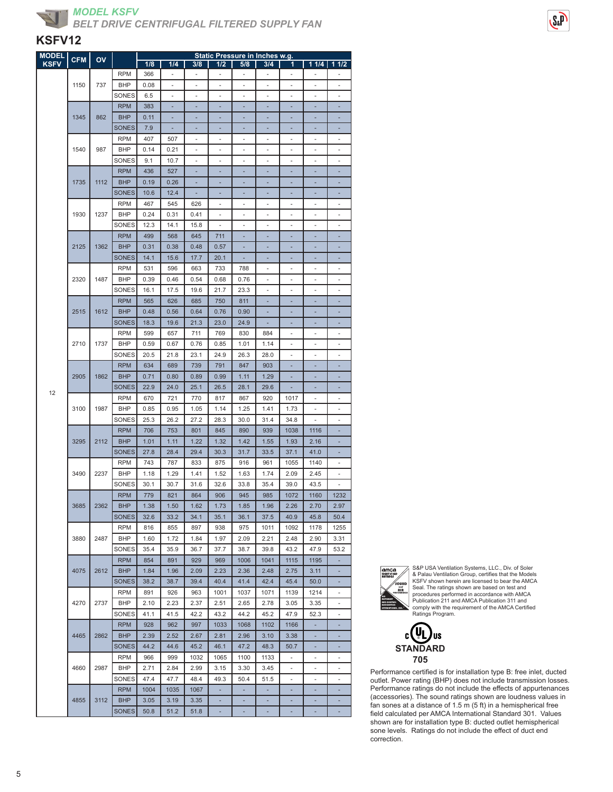



| <b>MODEL</b> | <b>CFM</b> | ov   |              |      |                          |                          | Static Pressure in Inches w.g. |                          |                |                          |                          |                          |
|--------------|------------|------|--------------|------|--------------------------|--------------------------|--------------------------------|--------------------------|----------------|--------------------------|--------------------------|--------------------------|
| <b>KSFV</b>  |            |      |              | 1/8  | 1/4                      | 3/8                      | 1/2                            | 5/8                      | 3/4            | 1                        | 11/4                     | 11/2                     |
|              |            |      | <b>RPM</b>   | 366  | $\overline{\phantom{a}}$ | $\overline{\phantom{a}}$ | $\qquad \qquad \blacksquare$   | $\overline{\phantom{m}}$ | $\overline{a}$ | $\overline{\phantom{a}}$ |                          |                          |
|              | 1150       | 737  | <b>BHP</b>   | 0.08 | ٠                        | ٠                        | Ĭ.                             | ٠                        | ٠              | ٠                        |                          | ä,                       |
|              |            |      | SONES        | 6.5  | ٠                        | ä,                       | Ĭ.                             | ٠                        | ٠              | ٠                        |                          | ä,                       |
|              |            |      |              |      |                          |                          |                                |                          |                |                          |                          |                          |
|              |            |      | <b>RPM</b>   | 383  |                          |                          |                                |                          |                |                          |                          |                          |
|              | 1345       | 862  | <b>BHP</b>   | 0.11 | ä,                       |                          | ä,                             | ä,                       | ×,             | ä,                       |                          | Ē,                       |
|              |            |      | SONES        | 7.9  | ٠                        | ٠                        | ۰                              | ٠                        | ×,             | ٠                        | ٠                        | ÷                        |
|              |            |      | <b>RPM</b>   | 407  | 507                      | ٠                        | Ĭ.                             | ٠                        | ٠              | ٠                        | ٠                        | ä,                       |
|              | 1540       | 987  | <b>BHP</b>   | 0.14 | 0.21                     | ä,                       | ۰                              | ٠                        | ٠              | ä,                       | ٠                        | ä,                       |
|              |            |      | SONES        | 9.1  | 10.7                     |                          |                                |                          |                |                          |                          |                          |
|              |            |      |              |      |                          |                          | Ē,                             | ä,                       |                |                          |                          | Ē,                       |
|              |            |      | <b>RPM</b>   | 436  | 527                      |                          |                                |                          |                |                          |                          |                          |
|              | 1735       | 1112 | <b>BHP</b>   | 0.19 | 0.26                     | ٠                        | ÷                              | ٠                        | ٠              | ٠                        |                          | ۰                        |
|              |            |      | <b>SONES</b> | 10.6 | 12.4                     | ٠                        | ۳                              | ٠                        | ٠              | ٠                        | ٠                        | ۰                        |
|              |            |      | <b>RPM</b>   | 467  | 545                      | 626                      | Ĭ.                             | ٠                        | ٠              | ٠                        | ٠                        | ä,                       |
|              | 1930       | 1237 | <b>BHP</b>   | 0.24 | 0.31                     | 0.41                     |                                |                          |                |                          |                          |                          |
|              |            |      | SONES        | 12.3 | 14.1                     | 15.8                     | ÷,                             | ä,                       | ä,             | ä,                       | ä,                       | ä,                       |
|              |            |      | <b>RPM</b>   | 499  | 568                      | 645                      | 711                            | ä,                       | ٠              | ٠                        |                          | ۰                        |
|              | 2125       | 1362 | <b>BHP</b>   | 0.31 | 0.38                     | 0.48                     | 0.57                           |                          | ٠              |                          |                          | ۰                        |
|              |            |      |              |      |                          |                          |                                |                          |                |                          |                          |                          |
|              |            |      | <b>SONES</b> | 14.1 | 15.6                     | 17.7                     | 20.1                           |                          |                |                          |                          |                          |
|              |            |      | <b>RPM</b>   | 531  | 596                      | 663                      | 733                            | 788                      |                |                          |                          |                          |
|              | 2320       | 1487 | <b>BHP</b>   | 0.39 | 0.46                     | 0.54                     | 0.68                           | 0.76                     | ä,             | ä,                       |                          | ä,                       |
|              |            |      | SONES        | 16.1 | 17.5                     | 19.6                     | 21.7                           | 23.3                     | ٠              | ٠                        | ٠                        | ٠                        |
|              |            |      | <b>RPM</b>   | 565  | 626                      | 685                      | 750                            | 811                      |                |                          |                          | ۰                        |
|              | 2515       | 1612 | <b>BHP</b>   | 0.48 | 0.56                     | 0.64                     | 0.76                           | 0.90                     |                |                          |                          |                          |
|              |            |      |              |      | 19.6                     |                          |                                |                          |                |                          |                          |                          |
|              |            |      | <b>SONES</b> | 18.3 |                          | 21.3                     | 23.0                           | 24.9                     | ٠              |                          |                          |                          |
|              |            |      | <b>RPM</b>   | 599  | 657                      | 711                      | 769                            | 830                      | 884            | ä,                       | ä,                       | ä,                       |
|              | 2710       | 1737 | <b>BHP</b>   | 0.59 | 0.67                     | 0.76                     | 0.85                           | 1.01                     | 1.14           | $\overline{\phantom{a}}$ | $\overline{\phantom{0}}$ | ٠                        |
|              |            |      | SONES        | 20.5 | 21.8                     | 23.1                     | 24.9                           | 26.3                     | 28.0           |                          |                          | ٠                        |
|              |            |      | <b>RPM</b>   | 634  | 689                      | 739                      | 791                            | 847                      | 903            |                          |                          |                          |
|              | 2905       | 1862 | <b>BHP</b>   | 0.71 | 0.80                     | 0.89                     | 0.99                           | 1.11                     | 1.29           |                          |                          |                          |
|              |            |      | <b>SONES</b> | 22.9 | 24.0                     | 25.1                     | 26.5                           | 28.1                     | 29.6           |                          |                          |                          |
| 12           |            |      |              |      |                          |                          |                                |                          |                |                          |                          |                          |
|              |            |      | <b>RPM</b>   | 670  | 721                      | 770                      | 817                            | 867                      | 920            | 1017                     | ٠                        | $\overline{\phantom{m}}$ |
|              | 3100       | 1987 | <b>BHP</b>   | 0.85 | 0.95                     | 1.05                     | 1.14                           | 1.25                     | 1.41           | 1.73                     |                          | ٠                        |
|              |            |      | SONES        | 25.3 | 26.2                     | 27.2                     | 28.3                           | 30.0                     | 31.4           | 34.8                     |                          |                          |
|              |            |      | <b>RPM</b>   | 706  | 753                      | 801                      | 845                            | 890                      | 939            | 1038                     | 1116                     |                          |
|              | 3295       | 2112 | <b>BHP</b>   | 1.01 | 1.11                     | 1.22                     | 1.32                           | 1.42                     | 1.55           | 1.93                     | 2.16                     | Ē.                       |
|              |            |      | SONES        | 27.8 | 28.4                     | 29.4                     | 30.3                           | 31.7                     | 33.5           | 37.1                     | 41.0                     | ÷                        |
|              |            |      | <b>RPM</b>   | 743  | 787                      | 833                      | 875                            | 916                      | 961            | 1055                     | 1140                     | ä,                       |
|              | 3490       | 2237 | BHP          | 1.18 | 1.29                     | 1.41                     | 1.52                           | 1.63                     | 1.74           | 2.09                     | 2.45                     | ä,                       |
|              |            |      |              |      |                          |                          |                                |                          |                |                          |                          |                          |
|              |            |      | SONES        | 30.1 | 30.7                     | 31.6                     | 32.6                           | 33.8                     | 35.4           | 39.0                     | 43.5                     |                          |
|              |            |      | <b>RPM</b>   | 779  | 821                      | 864                      | 906                            | 945                      | 985            | 1072                     | 1160                     | 1232                     |
|              | 3685       | 2362 | <b>BHP</b>   | 1.38 | 1.50                     | 1.62                     | 1.73                           | 1.85                     | 1.96           | 2.26                     | 2.70                     | 2.97                     |
|              |            |      | <b>SONES</b> | 32.6 | 33.2                     | 34.1                     | 35.1                           | 36.1                     | 37.5           | 40.9                     | 45.8                     | 50.4                     |
|              |            |      | <b>RPM</b>   | 816  | 855                      | 897                      | 938                            | 975                      | 1011           | 1092                     | 1178                     | 1255                     |
|              | 3880       | 2487 | BHP          | 1.60 | 1.72                     | 1.84                     | 1.97                           | 2.09                     | 2.21           | 2.48                     | 2.90                     | 3.31                     |
|              |            |      | SONES        | 35.4 | 35.9                     | 36.7                     | 37.7                           | 38.7                     | 39.8           | 43.2                     | 47.9                     | 53.2                     |
|              |            |      |              |      |                          |                          |                                |                          |                |                          |                          |                          |
|              |            |      | <b>RPM</b>   | 854  | 891                      | 929                      | 969                            | 1006                     | 1041           | 1115                     | 1195                     |                          |
|              | 4075       | 2612 | <b>BHP</b>   | 1.84 | 1.96                     | 2.09                     | 2.23                           | 2.36                     | 2.48           | 2.75                     | 3.11                     | ۰                        |
|              |            |      | <b>SONES</b> | 38.2 | 38.7                     | 39.4                     | 40.4                           | 41.4                     | 42.4           | 45.4                     | 50.0                     |                          |
|              |            |      | <b>RPM</b>   | 891  | 926                      | 963                      | 1001                           | 1037                     | 1071           | 1139                     | 1214                     |                          |
|              | 4270       | 2737 | <b>BHP</b>   | 2.10 | 2.23                     | 2.37                     | 2.51                           | 2.65                     | 2.78           | 3.05                     | 3.35                     | ä,                       |
|              |            |      | SONES        | 41.1 | 41.5                     | 42.2                     | 43.2                           | 44.2                     | 45.2           | 47.9                     | 52.3                     | $\overline{\phantom{m}}$ |
|              |            |      | <b>RPM</b>   | 928  | 962                      | 997                      | 1033                           | 1068                     | 1102           | 1166                     |                          | ٠                        |
|              |            |      |              |      |                          |                          |                                |                          |                |                          |                          |                          |
|              | 4465       | 2862 | <b>BHP</b>   | 2.39 | 2.52                     | 2.67                     | 2.81                           | 2.96                     | 3.10           | 3.38                     |                          |                          |
|              |            |      | <b>SONES</b> | 44.2 | 44.6                     | 45.2                     | 46.1                           | 47.2                     | 48.3           | 50.7                     |                          |                          |
|              |            |      | <b>RPM</b>   | 966  | 999                      | 1032                     | 1065                           | 1100                     | 1133           | ä,                       | ä,                       | ä,                       |
|              | 4660       | 2987 | BHP          | 2.71 | 2.84                     | 2.99                     | 3.15                           | 3.30                     | 3.45           | ۰                        | $\overline{\phantom{0}}$ | ٠                        |
|              |            |      | SONES        | 47.4 | 47.7                     | 48.4                     | 49.3                           | 50.4                     | 51.5           | ٠                        | ٠                        | ٠                        |
|              |            |      | <b>RPM</b>   | 1004 | 1035                     | 1067                     | ä,                             |                          |                |                          |                          |                          |
|              | 4855       | 3112 | <b>BHP</b>   | 3.05 | 3.19                     | 3.35                     |                                |                          |                |                          |                          |                          |
|              |            |      |              |      |                          |                          |                                |                          |                |                          |                          |                          |
|              |            |      | <b>SONES</b> | 50.8 | 51.2                     | 51.8                     | ÷,                             | ä,                       | ×,             |                          |                          |                          |



S&P USA Ventilation Systems, LLC., Div. of Soler & Palau Ventilation Group, certifies that the Models KSFV shown herein are licensed to bear the AMCA Seal. The ratings shown are based on test and procedures performed in accordance with AMCA Publication 211 and AMCA Publication 311 and comply with the requirement of the AMCA Certified Ratings Program.

SeP



Performance certified is for installation type B: free inlet, ducted outlet. Power rating (BHP) does not include transmission losses. Performance ratings do not include the effects of appurtenances (accessories). The sound ratings shown are loudness values in fan sones at a distance of 1.5 m (5 ft) in a hemispherical free field calculated per AMCA International Standard 301. Values shown are for installation type B: ducted outlet hemispherical sone levels. Ratings do not include the effect of duct end correction.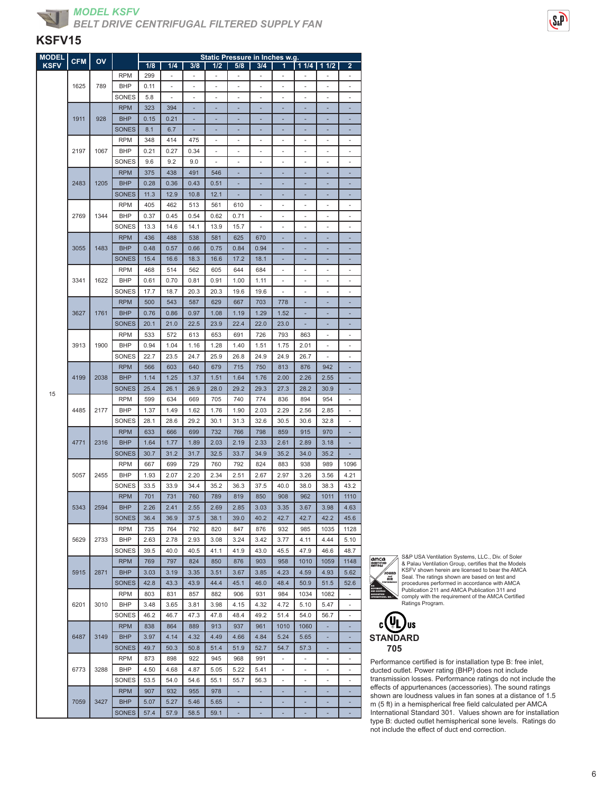

*BELT DRIVE CENTRIFUGAL FILTERED SUPPLY FAN*

### **KSFV15**

| <u>M</u> ODEL | <b>CFM</b> | ov   |              |      |                          |      |      | Static Pressure in Inches w.g. |                          |                              |                          |                          |                          |
|---------------|------------|------|--------------|------|--------------------------|------|------|--------------------------------|--------------------------|------------------------------|--------------------------|--------------------------|--------------------------|
| <b>KSFV</b>   |            |      |              | 1/8  | 1/4                      | 3/8  | 1/2  | 5/8                            | 3/4                      | $\mathbf{1}$                 |                          | $11/4$ 1/4 $2$           | $\overline{2}$           |
|               |            |      | <b>RPM</b>   | 299  | $\overline{\phantom{m}}$ |      | ÷    | $\overline{\phantom{m}}$       | $\overline{\phantom{a}}$ |                              |                          |                          | ۰                        |
|               | 1625       | 789  | <b>BHP</b>   | 0.11 |                          |      | ä,   |                                |                          | ä,                           |                          | ä,                       |                          |
|               |            |      | SONES        | 5.8  | $\overline{\phantom{m}}$ |      |      | ٠                              |                          |                              |                          |                          | ۰                        |
|               |            |      | <b>RPM</b>   | 323  | 394                      |      |      |                                |                          |                              |                          |                          |                          |
|               | 1911       | 928  | <b>BHP</b>   | 0.15 | 0.21                     |      |      |                                |                          |                              |                          |                          |                          |
|               |            |      | <b>SONES</b> |      |                          |      |      |                                |                          |                              |                          |                          |                          |
|               |            |      |              | 8.1  | 6.7                      | ٠    | ٠    | ٠                              |                          | ٠                            | ٠                        | ٠                        | ٠                        |
|               |            |      | <b>RPM</b>   | 348  | 414                      | 475  | ä,   |                                |                          | ä,                           |                          | ä,                       |                          |
|               | 2197       | 1067 | <b>BHP</b>   | 0.21 | 0.27                     | 0.34 | ٠    | ٠                              | ٠                        | ٠                            |                          | ٠                        | ٠                        |
|               |            |      | SONES        | 9.6  | 9.2                      | 9.0  |      |                                |                          |                              |                          |                          |                          |
|               |            |      | <b>RPM</b>   | 375  | 438                      | 491  | 546  |                                |                          |                              |                          |                          |                          |
|               | 2483       | 1205 | <b>BHP</b>   | 0.28 | 0.36                     | 0.43 | 0.51 | ٠                              |                          |                              |                          | ÷,                       |                          |
|               |            |      | <b>SONES</b> | 11.3 | 12.9                     | 10.8 | 12.1 |                                |                          |                              |                          |                          |                          |
|               |            |      | <b>RPM</b>   | 405  | 462                      | 513  | 561  | 610                            | ٠                        | ٠                            | ٠                        | ٠                        | ٠                        |
|               | 2769       | 1344 | <b>BHP</b>   | 0.37 | 0.45                     | 0.54 | 0.62 | 0.71                           |                          |                              |                          |                          |                          |
|               |            |      | SONES        | 13.3 | 14.6                     | 14.1 | 13.9 | 15.7                           | ä,                       | ÷,                           | ÷,                       | ÷,                       | ÷,                       |
|               |            |      |              |      |                          |      |      |                                |                          |                              |                          |                          |                          |
|               |            |      | <b>RPM</b>   | 436  | 488                      | 538  | 581  | 625                            | 670                      |                              |                          |                          |                          |
|               | 3055       | 1483 | <b>BHP</b>   | 0.48 | 0.57                     | 0.66 | 0.75 | 0.84                           | 0.94                     |                              |                          |                          |                          |
|               |            |      | <b>SONES</b> | 15.4 | 16.6                     | 18.3 | 16.6 | 17.2                           | 18.1                     |                              |                          |                          |                          |
|               |            |      | <b>RPM</b>   | 468  | 514                      | 562  | 605  | 644                            | 684                      | ä,                           |                          |                          | ٠                        |
|               | 3341       | 1622 | <b>BHP</b>   | 0.61 | 0.70                     | 0.81 | 0.91 | 1.00                           | 1.11                     | ÷,                           |                          | ÷,                       | ÷,                       |
|               |            |      | SONES        | 17.7 | 18.7                     | 20.3 | 20.3 | 19.6                           | 19.6                     | $\qquad \qquad \blacksquare$ |                          | ä,                       |                          |
|               |            |      | <b>RPM</b>   | 500  | 543                      | 587  | 629  | 667                            | 703                      | 778                          |                          |                          |                          |
|               | 3627       | 1761 | <b>BHP</b>   | 0.76 | 0.86                     | 0.97 | 1.08 | 1.19                           | 1.29                     | 1.52                         |                          |                          |                          |
|               |            |      | <b>SONES</b> | 20.1 | 21.0                     | 22.5 | 23.9 | 22.4                           | 22.0                     | 23.0                         |                          |                          |                          |
|               |            |      | <b>RPM</b>   | 533  | 572                      | 613  | 653  | 691                            | 726                      | 793                          | 863                      | ÷,                       | ÷,                       |
|               | 3913       | 1900 | <b>BHP</b>   | 0.94 | 1.04                     | 1.16 | 1.28 | 1.40                           | 1.51                     | 1.75                         | 2.01                     | $\overline{\phantom{a}}$ | $\overline{\phantom{m}}$ |
|               |            |      | SONES        | 22.7 | 23.5                     | 24.7 | 25.9 | 26.8                           | 24.9                     | 24.9                         | 26.7                     |                          |                          |
|               |            |      |              | 566  | 603                      | 640  |      |                                | 750                      |                              |                          | 942                      |                          |
|               |            |      | <b>RPM</b>   |      |                          |      | 679  | 715                            |                          | 813                          | 876                      |                          |                          |
|               | 4199       | 2038 | <b>BHP</b>   | 1.14 | 1.25                     | 1.37 | 1.51 | 1.64                           | 1.76                     | 2.00                         | 2.26                     | 2.55                     |                          |
| 15            |            |      | <b>SONES</b> | 25.4 | 26.1                     | 26.9 | 28.0 | 29.2                           | 29.3                     | 27.3                         | 28.2                     | 30.9                     |                          |
|               |            |      | <b>RPM</b>   | 599  | 634                      | 669  | 705  | 740                            | 774                      | 836                          | 894                      | 954                      | $\overline{\phantom{a}}$ |
|               | 4485       | 2177 | <b>BHP</b>   | 1.37 | 1.49                     | 1.62 | 1.76 | 1.90                           | 2.03                     | 2.29                         | 2.56                     | 2.85                     |                          |
|               |            |      | SONES        | 28.1 | 28.6                     | 29.2 | 30.1 | 31.3                           | 32.6                     | 30.5                         | 30.6                     | 32.8                     | ۰                        |
|               |            |      | <b>RPM</b>   | 633  | 666                      | 699  | 732  | 766                            | 798                      | 859                          | 915                      | 970                      |                          |
|               | 4771       | 2316 | <b>BHP</b>   | 1.64 | 1.77                     | 1.89 | 2.03 | 2.19                           | 2.33                     | 2.61                         | 2.89                     | 3.18                     |                          |
|               |            |      | <b>SONES</b> | 30.7 | 31.2                     | 31.7 | 32.5 | 33.7                           | 34.9                     | 35.2                         | 34.0                     | 35.2                     |                          |
|               |            |      | <b>RPM</b>   | 667  | 699                      | 729  | 760  | 792                            | 824                      | 883                          | 938                      | 989                      | 1096                     |
|               | 5057       | 2455 | <b>BHP</b>   | 1.93 | 2.07                     | 2.20 | 2.34 | 2.51                           | 2.67                     | 2.97                         | 3.26                     | 3.56                     | 4.21                     |
|               |            |      | SONES        | 33.5 | 33.9                     | 34.4 | 35.2 | 36.3                           | 37.5                     | 40.0                         | 38.0                     | 38.3                     | 43.2                     |
|               |            |      | <b>RPM</b>   | 701  | 731                      | 760  | 789  | 819                            | 850                      | 908                          | 962                      | 1011                     | 1110                     |
|               | 5343       | 2594 | <b>BHP</b>   | 2.26 | 2.41                     | 2.55 | 2.69 | 2.85                           | 3.03                     | 3.35                         | 3.67                     | 3.98                     | 4.63                     |
|               |            |      |              |      |                          |      |      |                                | 40.2                     |                              |                          | 42.2                     |                          |
|               |            |      | <b>SONES</b> | 36.4 | 36.9                     | 37.5 | 38.1 | 39.0                           |                          | 42.7                         | 42.7                     |                          | 45.6                     |
|               |            |      | <b>RPM</b>   | 735  | 764                      | 792  | 820  | 847                            | 876                      | 932                          | 985                      | 1035                     | 1128                     |
|               | 5629       | 2733 | <b>BHP</b>   | 2.63 | 2.78                     | 2.93 | 3.08 | 3.24                           | 3.42                     | 3.77                         | 4.11                     | 4.44                     | 5.10                     |
|               |            |      | SONES        | 39.5 | 40.0                     | 40.5 | 41.1 | 41.9                           | 43.0                     | 45.5                         | 47.9                     | 46.6                     | 48.7                     |
|               |            |      | <b>RPM</b>   | 769  | 797                      | 824  | 850  | 876                            | 903                      | 958                          | 1010                     | 1059                     | 1148                     |
|               | 5915       | 2871 | <b>BHP</b>   | 3.03 | 3.19                     | 3.35 | 3.51 | 3.67                           | 3.85                     | 4.23                         | 4.59                     | 4.93                     | 5.62                     |
|               |            |      | <b>SONES</b> | 42.8 | 43.3                     | 43.9 | 44.4 | 45.1                           | 46.0                     | 48.4                         | 50.9                     | 51.5                     | 52.6                     |
|               |            |      | <b>RPM</b>   | 803  | 831                      | 857  | 882  | 906                            | 931                      | 984                          | 1034                     | 1082                     |                          |
|               | 6201       | 3010 | <b>BHP</b>   | 3.48 | 3.65                     | 3.81 | 3.98 | 4.15                           | 4.32                     | 4.72                         | 5.10                     | 5.47                     | ÷                        |
|               |            |      | SONES        | 46.2 | 46.7                     | 47.3 | 47.8 | 48.4                           | 49.2                     | 51.4                         | 54.0                     | 56.7                     | $\overline{\phantom{m}}$ |
|               |            |      | <b>RPM</b>   | 838  | 864                      | 889  | 913  | 937                            | 961                      | 1010                         | 1060                     |                          |                          |
|               | 6487       | 3149 | <b>BHP</b>   | 3.97 | 4.14                     | 4.32 | 4.49 | 4.66                           | 4.84                     | 5.24                         | 5.65                     |                          |                          |
|               |            |      | <b>SONES</b> | 49.7 | 50.3                     | 50.8 | 51.4 | 51.9                           | 52.7                     | 54.7                         | 57.3                     | ٠                        |                          |
|               |            |      |              |      |                          |      |      |                                |                          |                              |                          |                          |                          |
|               |            |      | <b>RPM</b>   | 873  | 898                      | 922  | 945  | 968                            | 991                      | ÷,                           | $\overline{\phantom{a}}$ | $\frac{1}{2}$            | ÷,                       |
|               | 6773       | 3288 | <b>BHP</b>   | 4.50 | 4.68                     | 4.87 | 5.05 | 5.22                           | 5.41                     | $\qquad \qquad \blacksquare$ | ۰                        | ۰                        | ٠                        |
|               |            |      | SONES        | 53.5 | 54.0                     | 54.6 | 55.1 | 55.7                           | 56.3                     | ä,                           |                          | ä,                       |                          |
|               |            |      | <b>RPM</b>   | 907  | 932                      | 955  | 978  |                                |                          |                              |                          |                          |                          |
|               | 7059       | 3427 | <b>BHP</b>   | 5.07 | 5.27                     | 5.46 | 5.65 |                                |                          |                              |                          |                          |                          |
|               |            |      | <b>SONES</b> | 57.4 | 57.9                     | 58.5 | 59.1 |                                |                          |                              |                          |                          |                          |



S&P USA Ventilation Systems, LLC., Div. of Soler & Palau Ventilation Group, certifies that the Models KSFV shown herein are licensed to bear the AMCA Seal. The ratings shown are based on test and procedures performed in accordance with AMCA Publication 211 and AMCA Publication 311 and comply with the requirement of the AMCA Certified Ratings Program.



Performance certified is for installation type B: free inlet, ducted outlet. Power rating (BHP) does not include transmission losses. Performance ratings do not include the effects of appurtenances (accessories). The sound ratings shown are loudness values in fan sones at a distance of 1.5 m (5 ft) in a hemispherical free field calculated per AMCA International Standard 301. Values shown are for installation type B: ducted outlet hemispherical sone levels. Ratings do not include the effect of duct end correction.

 $S_{2}P$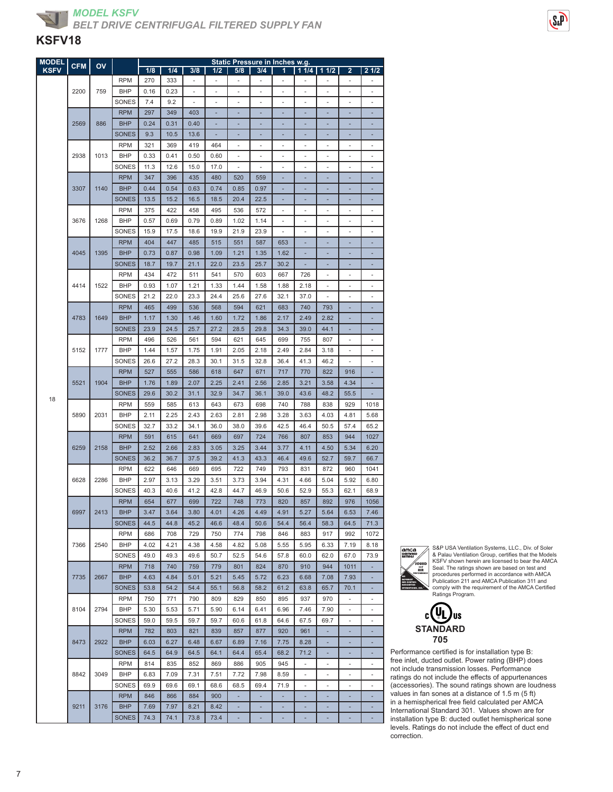

| <b>MODEL</b> | <b>CFM</b> | OV   |              |      |      |      |      |                          | <b>Static Pressure in Inches w.g.</b> |                          |                              |                          |                          |                          |
|--------------|------------|------|--------------|------|------|------|------|--------------------------|---------------------------------------|--------------------------|------------------------------|--------------------------|--------------------------|--------------------------|
| <b>KSFV</b>  |            |      |              | 1/8  | 1/4  | 3/8  | 1/2  | 5/8                      | 3/4                                   | 1                        |                              | $11/4$ 1 1/2             | 2                        | 21/2                     |
|              |            |      | <b>RPM</b>   | 270  | 333  | ٠    | ٠    | ٠                        |                                       |                          |                              |                          |                          |                          |
|              | 2200       | 759  | <b>BHP</b>   | 0.16 | 0.23 | ä,   | ÷.   | ä,                       | ä,                                    | ä,                       | ÷.                           | $\overline{a}$           |                          | ä,                       |
|              |            |      | SONES        | 7.4  | 9.2  | ä,   | ٠    | ÷,                       | ٠                                     | ٠                        | ٠                            | ä,                       | ٠                        | ÷,                       |
|              |            |      | <b>RPM</b>   | 297  | 349  | 403  | ٠    | ٠                        | ٠                                     | ۰                        | ٠                            | ÷                        | ٠                        | ٠                        |
|              | 2569       | 886  | <b>BHP</b>   | 0.24 | 0.31 | 0.40 |      |                          |                                       |                          |                              |                          |                          |                          |
|              |            |      | <b>SONES</b> | 9.3  | 10.5 | 13.6 |      |                          |                                       |                          |                              |                          |                          |                          |
|              |            |      | <b>RPM</b>   | 321  | 369  | 419  | 464  | ä,                       | ä,                                    | ٠                        |                              | ٠                        | ä,                       | ä,                       |
|              | 2938       | 1013 | <b>BHP</b>   | 0.33 | 0.41 | 0.50 | 0.60 | ÷,                       | $\frac{1}{2}$                         | ×,                       | ٠                            | $\overline{a}$           | ÷,                       | ÷,                       |
|              |            |      | SONES        | 11.3 | 12.6 | 15.0 | 17.0 | $\overline{\phantom{a}}$ | $\overline{a}$                        | ÷,                       | ٠                            | $\overline{\phantom{m}}$ | ÷,                       | $\overline{\phantom{m}}$ |
|              |            |      | <b>RPM</b>   | 347  | 396  | 435  | 480  | 520                      | 559                                   |                          |                              |                          |                          |                          |
|              | 3307       | 1140 | <b>BHP</b>   | 0.44 | 0.54 | 0.63 | 0.74 | 0.85                     | 0.97                                  |                          |                              |                          |                          |                          |
|              |            |      | <b>SONES</b> | 13.5 | 15.2 | 16.5 | 18.5 | 20.4                     | 22.5                                  |                          |                              |                          |                          | ÷                        |
|              |            |      | <b>RPM</b>   | 375  | 422  | 458  | 495  | 536                      | 572                                   | ×,                       | ٠                            | ä,                       | ۰                        | ÷,                       |
|              | 3676       | 1268 | <b>BHP</b>   | 0.57 | 0.69 | 0.79 | 0.89 | 1.02                     | 1.14                                  | $\overline{\phantom{m}}$ | $\qquad \qquad \blacksquare$ | $\overline{a}$           | $\overline{\phantom{m}}$ | ٠                        |
|              |            |      | SONES        | 15.9 | 17.5 | 18.6 | 19.9 | 21.9                     | 23.9                                  |                          | ä,                           | ä,                       |                          | ä,                       |
|              |            |      | <b>RPM</b>   | 404  | 447  | 485  | 515  | 551                      | 587                                   | 653                      |                              |                          |                          |                          |
|              | 4045       | 1395 | <b>BHP</b>   | 0.73 | 0.87 | 0.98 | 1.09 | 1.21                     | 1.35                                  | 1.62                     |                              |                          |                          |                          |
|              |            |      | <b>SONES</b> | 18.7 | 19.7 | 21.1 | 22.0 | 23.5                     | 25.7                                  | 30.2                     | ٠                            | ÷                        | ۰                        | ä,                       |
|              |            |      | <b>RPM</b>   | 434  | 472  | 511  | 541  | 570                      | 603                                   | 667                      | 726                          | ä,                       | $\overline{\phantom{0}}$ | $\overline{\phantom{m}}$ |
|              | 4414       | 1522 | <b>BHP</b>   | 0.93 | 1.07 | 1.21 | 1.33 | 1.44                     | 1.58                                  | 1.88                     | 2.18                         | ä,                       |                          |                          |
|              |            |      | SONES        | 21.2 | 22.0 | 23.3 | 24.4 | 25.6                     | 27.6                                  | 32.1                     | 37.0                         |                          |                          | ٠                        |
|              |            |      | <b>RPM</b>   | 465  | 499  | 536  | 568  | 594                      | 621                                   | 683                      | 740                          | 793                      |                          |                          |
|              | 4783       | 1649 | <b>BHP</b>   | 1.17 | 1.30 | 1.46 | 1.60 | 1.72                     | 1.86                                  | 2.17                     | 2.49                         | 2.82                     | ÷,                       | ä,                       |
|              |            |      | <b>SONES</b> | 23.9 | 24.5 | 25.7 | 27.2 | 28.5                     | 29.8                                  | 34.3                     | 39.0                         | 44.1                     | ٠                        | ٠                        |
|              |            |      | <b>RPM</b>   | 496  | 526  | 561  | 594  | 621                      | 645                                   | 699                      | 755                          | 807                      |                          | ÷,                       |
|              | 5152       | 1777 | <b>BHP</b>   | 1.44 | 1.57 | 1.75 | 1.91 | 2.05                     | 2.18                                  | 2.49                     | 2.84                         | 3.18                     |                          | ٠                        |
|              |            |      | SONES        | 26.6 | 27.2 | 28.3 | 30.1 | 31.5                     | 32.8                                  | 36.4                     | 41.3                         | 46.2                     |                          | ä,                       |
|              |            |      | <b>RPM</b>   | 527  | 555  | 586  | 618  | 647                      | 671                                   | 717                      | 770                          | 822                      | 916                      | ä,                       |
|              | 5521       | 1904 | <b>BHP</b>   | 1.76 | 1.89 | 2.07 | 2.25 | 2.41                     | 2.56                                  | 2.85                     | 3.21                         | 3.58                     | 4.34                     | ä,                       |
|              |            |      | <b>SONES</b> | 29.6 | 30.2 | 31.1 | 32.9 | 34.7                     | 36.1                                  | 39.0                     | 43.6                         | 48.2                     | 55.5                     |                          |
| 18           |            |      | <b>RPM</b>   | 559  | 585  | 613  | 643  | 673                      | 698                                   | 740                      | 788                          | 838                      | 929                      | 1018                     |
|              | 5890       | 2031 | <b>BHP</b>   | 2.11 | 2.25 | 2.43 | 2.63 | 2.81                     | 2.98                                  | 3.28                     | 3.63                         | 4.03                     | 4.81                     | 5.68                     |
|              |            |      | SONES        | 32.7 | 33.2 | 34.1 | 36.0 | 38.0                     | 39.6                                  | 42.5                     | 46.4                         | 50.5                     | 57.4                     | 65.2                     |
|              |            |      | <b>RPM</b>   | 591  | 615  | 641  | 669  | 697                      | 724                                   | 766                      | 807                          | 853                      | 944                      | 1027                     |
|              | 6259       | 2158 | <b>BHP</b>   | 2.52 | 2.66 | 2.83 | 3.05 | 3.25                     | 3.44                                  | 3.77                     | 4.11                         | 4.50                     | 5.34                     | 6.20                     |
|              |            |      | <b>SONES</b> | 36.2 | 36.7 | 37.5 | 39.2 | 41.3                     | 43.3                                  | 46.4                     | 49.6                         | 52.7                     | 59.7                     | 66.7                     |
|              |            |      | <b>RPM</b>   | 622  | 646  | 669  | 695  | 722                      | 749                                   | 793                      | 831                          | 872                      | 960                      | 1041                     |
|              | 6628       | 2286 | <b>BHP</b>   | 2.97 | 3.13 | 3.29 | 3.51 | 3.73                     | 3.94                                  | 4.31                     | 4.66                         | 5.04                     | 5.92                     | 6.80                     |
|              |            |      | SONES        | 40.3 | 40.6 | 41.2 | 42.8 | 44.7                     | 46.9                                  | 50.6                     | 52.9                         | 55.3                     | 62.1                     | 68.9                     |
|              |            |      | <b>RPM</b>   | 654  | 677  | 699  | 722  | 748                      | 773                                   | 820                      | 857                          | 892                      | 976                      | 1056                     |
|              | 6997       | 2413 | <b>BHP</b>   | 3.47 |      |      |      |                          | 4.49                                  | 4.91                     |                              |                          |                          | 7.46                     |
|              |            |      |              |      | 3.64 | 3.80 | 4.01 | 4.26                     |                                       |                          | 5.27                         | 5.64                     | 6.53                     |                          |
|              |            |      | <b>SONES</b> | 44.5 | 44.8 | 45.2 | 46.6 | 48.4                     | 50.6                                  | 54.4                     | 56.4                         | 58.3                     | 64.5                     | 71.3                     |
|              |            |      | <b>RPM</b>   | 686  | 708  | 729  | 750  | 774                      | 798                                   | 846                      | 883                          | 917                      | 992                      | 1072                     |
|              | 7366       | 2540 | <b>BHP</b>   | 4.02 | 4.21 | 4.38 | 4.58 | 4.82                     | 5.08                                  | 5.55                     | 5.95                         | 6.33                     | 7.19                     | 8.18                     |
|              |            |      | SONES        | 49.0 | 49.3 | 49.6 | 50.7 | 52.5                     | 54.6                                  | 57.8                     | 60.0                         | 62.0                     | 67.0                     | 73.9                     |
|              |            |      | <b>RPM</b>   | 718  | 740  | 759  | 779  | 801                      | 824                                   | 870                      | 910                          | 944                      | 1011                     |                          |
|              | 7735       | 2667 | <b>BHP</b>   | 4.63 | 4.84 | 5.01 | 5.21 | 5.45                     | 5.72                                  | 6.23                     | 6.68                         | 7.08                     | 7.93                     | ÷,                       |
|              |            |      | <b>SONES</b> | 53.8 | 54.2 | 54.4 | 55.1 | 56.8                     | 58.2                                  | 61.2                     | 63.8                         | 65.7                     | 70.1                     | ٠                        |
|              |            |      | <b>RPM</b>   | 750  | 771  | 790  | 809  | 829                      | 850                                   | 895                      | 937                          | 970                      | $\overline{\phantom{a}}$ | ٠                        |
|              | 8104       | 2794 | <b>BHP</b>   | 5.30 | 5.53 | 5.71 | 5.90 | 6.14                     | 6.41                                  | 6.96                     | 7.46                         | 7.90                     |                          | ä,                       |
|              |            |      | SONES        | 59.0 | 59.5 | 59.7 | 59.7 | 60.6                     | 61.8                                  | 64.6                     | 67.5                         | 69.7                     |                          |                          |
|              |            |      | <b>RPM</b>   | 782  | 803  | 821  | 839  | 857                      | 877                                   | 920                      | 961                          | ×,                       |                          |                          |
|              | 8473       | 2922 | <b>BHP</b>   | 6.03 | 6.27 | 6.48 | 6.67 | 6.89                     | 7.16                                  | 7.75                     | 8.28                         | ٠                        | ÷,                       | ٠                        |
|              |            |      | <b>SONES</b> | 64.5 | 64.9 | 64.5 | 64.1 | 64.4                     | 65.4                                  | 68.2                     | 71.2                         | ٠                        | ٠                        | ٠                        |
|              |            |      | <b>RPM</b>   | 814  | 835  | 852  | 869  | 886                      | 905                                   | 945                      | ÷                            | ä,                       | ä,                       | ÷,                       |
|              | 8842       | 3049 | <b>BHP</b>   | 6.83 | 7.09 | 7.31 | 7.51 | 7.72                     | 7.98                                  | 8.59                     |                              | ٠                        | ۰                        | $\overline{\phantom{m}}$ |
|              |            |      | SONES        | 69.9 | 69.6 | 69.1 | 68.6 | 68.5                     | 69.4                                  | 71.9                     | ä,                           | $\overline{a}$           |                          | ÷,                       |
|              |            |      | <b>RPM</b>   | 846  | 866  | 884  | 900  | ٠                        | ٠                                     | ÷,                       | ٠                            | ٠                        | ۳                        | ٠                        |
|              | 9211       | 3176 | <b>BHP</b>   | 7.69 | 7.97 | 8.21 | 8.42 | ٠                        | ٠                                     | ٠                        | ٠                            | ÷                        | ٠                        | ٠                        |
|              |            |      | <b>SONES</b> | 74.3 | 74.1 | 73.8 | 73.4 |                          |                                       |                          |                              |                          | ä,                       |                          |
|              |            |      |              |      |      |      |      |                          |                                       |                          |                              |                          |                          |                          |



S&P USA Ventilation Systems, LLC., Div. of Soler & Palau Ventilation Group, certifies that the Models KSFV shown herein are licensed to bear the AMCA Seal. The ratings shown are based on test and procedures performed in accordance with AMCA Publication 211 and AMCA Publication 311 and comply with the requirement of the AMCA Certified Ratings Program.

**US** c **STANDARD 705**

Performance certified is for installation type B: free inlet, ducted outlet. Power rating (BHP) does not include transmission losses. Performance ratings do not include the effects of appurtenances (accessories). The sound ratings shown are loudness values in fan sones at a distance of 1.5 m (5 ft) in a hemispherical free field calculated per AMCA International Standard 301. Values shown are for installation type B: ducted outlet hemispherical sone levels. Ratings do not include the effect of duct end correction.



 $S_{\alpha}P$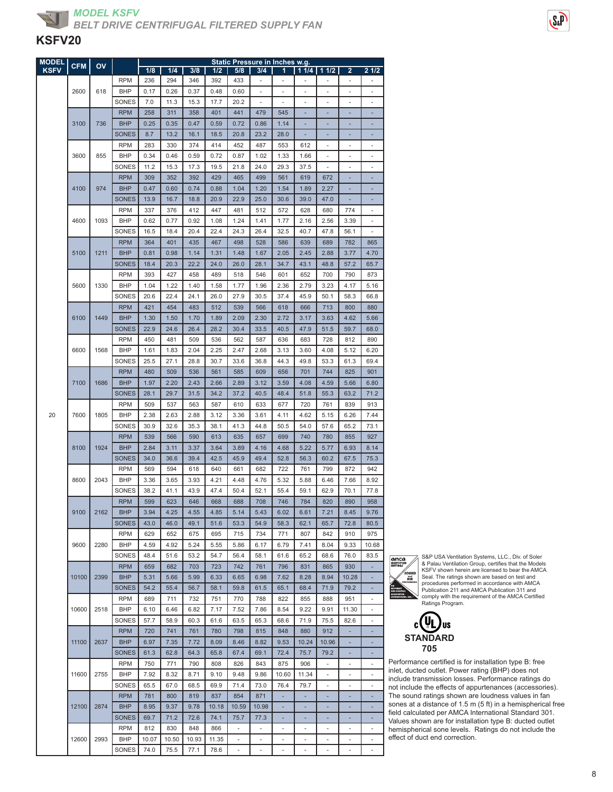| <b>MODEL</b> | <b>CFM</b> | OV   |                          | Static Pressure in Inches w.g. |              |              |             |                          |             |             |              |               |                          |                          |
|--------------|------------|------|--------------------------|--------------------------------|--------------|--------------|-------------|--------------------------|-------------|-------------|--------------|---------------|--------------------------|--------------------------|
| <b>KSFV</b>  |            |      |                          | 1/8                            | 1/4          | 3/8          | 1/2         | 5/8                      | 3/4         | 1           |              | $11/4$   11/2 | $\overline{\mathbf{2}}$  | 21/2                     |
|              |            |      | <b>RPM</b>               | 236                            | 294          | 346          | 392         | 433                      |             |             |              |               |                          |                          |
|              | 2600       | 618  | <b>BHP</b>               | 0.17                           | 0.26         | 0.37         | 0.48        | 0.60                     |             | ٠           |              | ä,            |                          |                          |
|              |            |      | SONES                    | 7.0                            | 11.3         | 15.3         | 17.7        | 20.2                     |             |             |              | ä,            |                          |                          |
|              |            |      | <b>RPM</b>               | 258                            | 311          | 358          | 401         | 441                      | 479         | 545         | ۰            | ÷,            | ۰                        | Ē.                       |
|              | 3100       | 736  | <b>BHP</b>               | 0.25                           | 0.35         | 0.47         | 0.59        | 0.72                     | 0.86        | 1.14        | ۰            | ٠             |                          |                          |
|              |            |      | <b>SONES</b>             | 8.7                            | 13.2         | 16.1         | 18.5        | 20.8                     | 23.2        | 28.0        |              |               |                          |                          |
|              |            |      | <b>RPM</b>               | 283                            | 330          | 374          | 414         | 452                      | 487         | 553         | 612          | ٠             |                          |                          |
|              | 3600       | 855  | <b>BHP</b>               | 0.34                           | 0.46         | 0.59         | 0.72        | 0.87                     | 1.02        | 1.33        | 1.66         | L,            |                          |                          |
|              |            |      | SONES                    | 11.2                           | 15.3         | 17.3         | 19.5        | 21.8                     | 24.0        | 29.3        | 37.5         | i.            | $\sim$                   | ٠                        |
|              |            |      | <b>RPM</b>               | 309                            | 352          | 392          | 429         | 465                      | 499         | 561         | 619          | 672           |                          |                          |
|              | 4100       | 974  | <b>BHP</b>               | 0.47                           | 0.60         | 0.74         | 0.88        | 1.04                     | 1.20        | 1.54        | 1.89         | 2.27          |                          |                          |
|              |            |      | <b>SONES</b>             | 13.9                           | 16.7         | 18.8         | 20.9        | 22.9                     | 25.0        | 30.6        | 39.0         | 47.0          |                          |                          |
|              |            |      | <b>RPM</b>               | 337                            | 376          | 412          | 447         | 481                      | 512         | 572         | 628          | 680           | 774                      |                          |
|              | 4600       | 1093 | <b>BHP</b>               | 0.62                           | 0.77         | 0.92         | 1.08        | 1.24                     | 1.41        | 1.77        | 2.16         | 2.56          | 3.39                     | ٠                        |
|              |            |      | SONES                    | 16.5                           | 18.4         | 20.4         | 22.4        | 24.3                     | 26.4        | 32.5        | 40.7         | 47.8          | 56.1                     |                          |
|              |            |      | <b>RPM</b>               | 364                            | 401          | 435          | 467         | 498                      | 528         | 586         | 639          | 689           | 782                      | 865                      |
|              | 5100       | 1211 | <b>BHP</b>               | 0.81                           | 0.98         | 1.14         | 1.31        | 1.48                     | 1.67        | 2.05        | 2.45         | 2.88          | 3.77                     | 4.70                     |
|              |            |      | <b>SONES</b>             | 18.4                           | 20.3         | 22.2         | 24.0        | 26.0                     | 28.1        | 34.7        | 43.1         | 48.8          | 57.2                     | 65.7                     |
|              |            |      | <b>RPM</b>               | 393                            | 427          | 458          | 489         | 518                      | 546         | 601         | 652          | 700           | 790                      | 873                      |
|              | 5600       | 1330 | <b>BHP</b>               | 1.04                           | 1.22<br>22.4 | 1.40<br>24.1 | 1.58        | 1.77                     | 1.96        | 2.36        | 2.79<br>45.9 | 3.23          | 4.17                     | 5.16                     |
|              |            |      | SONES                    | 20.6                           |              |              | 26.0        | 27.9                     | 30.5        | 37.4        |              | 50.1          | 58.3                     | 66.8                     |
|              | 6100       | 1449 | <b>RPM</b><br><b>BHP</b> | 421<br>1.30                    | 454<br>1.50  | 483<br>1.70  | 512<br>1.89 | 539<br>2.09              | 566<br>2.30 | 618<br>2.72 | 666<br>3.17  | 713<br>3.63   | 800<br>4.62              | 880<br>5.66              |
|              |            |      | <b>SONES</b>             |                                |              |              |             |                          |             |             |              |               |                          | 68.0                     |
|              |            |      | <b>RPM</b>               | 22.9                           | 24.6<br>481  | 26.4         | 28.2        | 30.4                     | 33.5        | 40.5        | 47.9         | 51.5          | 59.7                     | 890                      |
|              | 6600       | 1568 | BHP                      | 450<br>1.61                    | 1.83         | 509<br>2.04  | 536<br>2.25 | 562<br>2.47              | 587<br>2.68 | 636<br>3.13 | 683<br>3.60  | 728<br>4.08   | 812<br>5.12              | 6.20                     |
|              |            |      | SONES                    | 25.5                           | 27.1         | 28.8         | 30.7        | 33.6                     | 36.8        | 44.3        | 49.8         | 53.3          | 61.3                     | 69.4                     |
|              |            |      | <b>RPM</b>               | 480                            | 509          | 536          | 561         | 585                      | 609         | 656         | 701          | 744           | 825                      | 901                      |
|              | 7100       | 1686 | <b>BHP</b>               | 1.97                           | 2.20         | 2.43         | 2.66        | 2.89                     | 3.12        | 3.59        | 4.08         | 4.59          | 5.66                     | 6.80                     |
|              |            |      | <b>SONES</b>             | 28.1                           | 29.7         | 31.5         | 34.2        | 37.2                     | 40.5        | 48.4        | 51.8         | 55.3          | 63.2                     | 71.2                     |
|              |            |      | <b>RPM</b>               | 509                            | 537          | 563          | 587         | 610                      | 633         | 677         | 720          | 761           | 839                      | 913                      |
| 20           | 7600       | 1805 | <b>BHP</b>               | 2.38                           | 2.63         | 2.88         | 3.12        | 3.36                     | 3.61        | 4.11        | 4.62         | 5.15          | 6.26                     | 7.44                     |
|              |            |      | SONES                    | 30.9                           | 32.6         | 35.3         | 38.1        | 41.3                     | 44.8        | 50.5        | 54.0         | 57.6          | 65.2                     | 73.1                     |
|              |            |      | <b>RPM</b>               | 539                            | 566          | 590          | 613         | 635                      | 657         | 699         | 740          | 780           | 855                      | 927                      |
|              | 8100       | 1924 | <b>BHP</b>               | 2.84                           | 3.11         | 3.37         | 3.64        | 3.89                     | 4.16        | 4.68        | 5.22         | 5.77          | 6.93                     | 8.14                     |
|              |            |      | <b>SONES</b>             | 34.0                           | 36.6         | 39.4         | 42.5        | 45.9                     | 49.4        | 52.8        | 56.3         | 60.2          | 67.5                     | 75.3                     |
|              |            |      | <b>RPM</b>               | 569                            | 594          | 618          | 640         | 661                      | 682         | 722         | 761          | 799           | 872                      | 942                      |
|              | 8600       | 2043 | <b>BHP</b>               | 3.36                           | 3.65         | 3.93         | 4.21        | 4.48                     | 4.76        | 5.32        | 5.88         | 6.46          | 7.66                     | 8.92                     |
|              |            |      | SONES                    | 38.2                           | 41.1         | 43.9         | 47.4        | 50.4                     | 52.1        | 55.4        | 59.1         | 62.9          | 70.1                     | 77.8                     |
|              |            |      | <b>RPM</b>               | 599                            | 623          | 646          | 668         | 688                      | 708         | 746         | 784          | 820           | 890                      | 958                      |
|              | 9100       | 2162 | <b>BHP</b>               | 3.94                           | 4.25         | 4.55         | 4.85        | 5.14                     | 5.43        | 6.02        | 6.61         | 7.21          | 8.45                     | 9.76                     |
|              |            |      | <b>SONES</b>             | 43.0                           | 46.0         | 49.1         | 51.6        | 53.3                     | 54.9        | 58.3        | 62.1         | 65.7          | 72.8                     | 80.5                     |
|              |            |      | <b>RPM</b>               | 629                            | 652          | 675          | 695         | 715                      | 734         | 771         | 807          | 842           | 910                      | 975                      |
|              | 9600       | 2280 | <b>BHP</b>               | 4.59                           | 4.92         | 5.24         | 5.55        | 5.86                     | 6.17        | 6.79        | 7.41         | 8.04          | 9.33                     | 10.68                    |
|              |            |      | SONES                    | 48.4                           | 51.6         | 53.2         | 54.7        | 56.4                     | 58.1        | 61.6        | 65.2         | 68.6          | 76.0                     | 83.5                     |
|              |            |      | <b>RPM</b>               | 659                            | 682          | 703          | 723         | 742                      | 761         | 796         | 831          | 865           | 930                      |                          |
|              | 10100      | 2399 | <b>BHP</b>               | 5.31                           | 5.66         | 5.99         | 6.33        | 6.65                     | 6.98        | 7.62        | 8.28         | 8.94          | 10.28                    |                          |
|              |            |      | <b>SONES</b>             | 54.2                           | 55.4         | 56.7         | 58.1        | 59.8                     | 61.5        | 65.1        | 68.4         | 71.9          | 79.2                     |                          |
|              |            |      | <b>RPM</b>               | 689                            | 711          | 732          | 751         | 770                      | 788         | 822         | 855          | 888           | 951                      | $\overline{\phantom{a}}$ |
|              | 10600      | 2518 | <b>BHP</b>               | 6.10                           | 6.46         | 6.82         | 7.17        | 7.52                     | 7.86        | 8.54        | 9.22         | 9.91          | 11.30                    | $\overline{\phantom{a}}$ |
|              |            |      | SONES                    | 57.7                           | 58.9         | 60.3         | 61.6        | 63.5                     | 65.3        | 68.6        | 71.9         | 75.5          | 82.6                     |                          |
|              |            |      | <b>RPM</b>               | 720                            | 741          | 761          | 780         | 798                      | 815         | 848         | 880          | 912           |                          |                          |
|              | 11100      | 2637 | <b>BHP</b>               | 6.97                           | 7.35         | 7.72         | 8.09        | 8.46                     | 8.82        | 9.53        | 10.24        | 10.96         |                          |                          |
|              |            |      | <b>SONES</b>             | 61.3                           | 62.8         | 64.3         | 65.8        | 67.4                     | 69.1        | 72.4        | 75.7         | 79.2          | ٠                        | ٠                        |
|              |            |      | <b>RPM</b>               | 750                            | 771          | 790          | 808         | 826                      | 843         | 875         | 906          | -             | $\overline{\phantom{m}}$ | $\overline{\phantom{a}}$ |
|              | 11600      | 2755 | BHP                      | 7.92                           | 8.32         | 8.71         | 9.10        | 9.48                     | 9.86        | 10.60       | 11.34        | i.            |                          |                          |
|              |            |      | SONES                    | 65.5                           | 67.0         | 68.5         | 69.9        | 71.4                     | 73.0        | 76.4        | 79.7         | ٠             |                          |                          |
|              |            |      | <b>RPM</b>               | 781                            | 800          | 819          | 837         | 854                      | 871         | ×,          |              |               |                          |                          |
|              | 12100      | 2874 | <b>BHP</b>               | 8.95                           | 9.37         | 9.78         | 10.18       | 10.59                    | 10.98       | ٠           | ÷,           | ä,            | ÷,                       | ٠                        |
|              |            |      | <b>SONES</b>             | 69.7                           | 71.2         | 72.6         | 74.1        | 75.7                     | 77.3        | ٠           | ٠            | ٠             | ٠                        | ٠                        |
|              |            |      | <b>RPM</b>               | 812                            | 830          | 848          | 866         | ÷,                       |             | ÷,          |              |               |                          |                          |
|              | 12600      | 2993 | <b>BHP</b>               | 10.07                          | 10.50        | 10.93        | 11.35       | $\overline{\phantom{a}}$ |             | ۰           |              | ٠             |                          |                          |
|              |            |      | SONES                    | 74.0                           | 75.5         | 77.1         | 78.6        | ÷,                       |             | i,          |              |               |                          |                          |

 $\overline{\mathbb{A}}$ **amca**<br>CERTIFIED anuoid<br>Sound PERFORMANCE AIR MOVEMENT AND CONTROL ASSOCIATION

INTERNATIONAL, INC.

S&P USA Ventilation Systems, LLC., Div. of Soler & Palau Ventilation Group, certifies that the Models KSFV shown herein are licensed to bear the AMCA Seal. The ratings shown are based on test and procedures performed in accordance with AMCA Publication 211 and AMCA Publication 311 and comply with the requirement of the AMCA Certified Ratings Program.



Performance certified is for installation type B: free inlet, ducted outlet. Power rating (BHP) does not include transmission losses. Performance ratings do not include the effects of appurtenances (accessories). The sound ratings shown are loudness values in fan sones at a distance of 1.5 m (5 ft) in a hemispherical free field calculated per AMCA International Standard 301. Values shown are for installation type B: ducted outlet hemispherical sone levels. Ratings do not include the effect of duct end correction.

 $S_{2}P$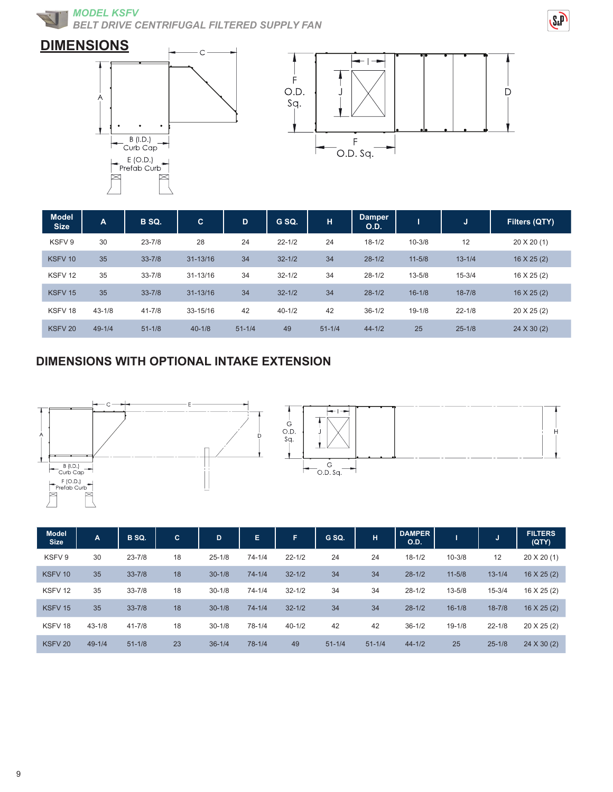**MODEL KSFV** *BELT DRIVE CENTRIFUGAL FILTERED SUPPLY FAN*







| <b>Model</b><br><b>Size</b> | $\overline{A}$ | B SQ.      | $\mathbf{C}$ | D          | G SQ.      | н          | <b>Damper</b><br>O.D. |            | IJ         | Filters (QTY)     |
|-----------------------------|----------------|------------|--------------|------------|------------|------------|-----------------------|------------|------------|-------------------|
| KSFV 9                      | 30             | $23 - 7/8$ | 28           | 24         | $22 - 1/2$ | 24         | $18 - 1/2$            | $10 - 3/8$ | 12         | $20 \times 20(1)$ |
| KSFV <sub>10</sub>          | 35             | $33 - 7/8$ | $31 - 13/16$ | 34         | $32 - 1/2$ | 34         | $28 - 1/2$            | $11 - 5/8$ | $13 - 1/4$ | $16 \times 25(2)$ |
| KSFV <sub>12</sub>          | 35             | $33 - 7/8$ | $31 - 13/16$ | 34         | $32 - 1/2$ | 34         | $28 - 1/2$            | $13 - 5/8$ | $15 - 3/4$ | $16 \times 25(2)$ |
| KSFV <sub>15</sub>          | 35             | $33 - 7/8$ | $31 - 13/16$ | 34         | $32 - 1/2$ | 34         | $28-1/2$              | $16 - 1/8$ | $18 - 7/8$ | $16 \times 25(2)$ |
| KSFV <sub>18</sub>          | $43 - 1/8$     | $41 - 7/8$ | 33-15/16     | 42         | $40 - 1/2$ | 42         | $36 - 1/2$            | $19 - 1/8$ | $22 - 1/8$ | 20 X 25 (2)       |
| KSFV <sub>20</sub>          | $49 - 1/4$     | $51 - 1/8$ | $40 - 1/8$   | $51 - 1/4$ | 49         | $51 - 1/4$ | $44 - 1/2$            | 25         | $25 - 1/8$ | $24 \times 30(2)$ |

### **DIMENSIONS WITH OPTIONAL INTAKE EXTENSION**





| <b>Model</b><br><b>Size</b> | $\mathbf{A}$ | B SQ.      | IC. | D          | E.         | F.         | G SQ.      | н          | <b>DAMPER</b><br>O.D. |            | w          | <b>FILTERS</b><br>(QTY) |
|-----------------------------|--------------|------------|-----|------------|------------|------------|------------|------------|-----------------------|------------|------------|-------------------------|
| KSFV 9                      | 30           | $23 - 7/8$ | 18  | $25 - 1/8$ | $74 - 1/4$ | $22 - 1/2$ | 24         | 24         | $18 - 1/2$            | $10 - 3/8$ | 12         | 20 X 20 (1)             |
| KSFV <sub>10</sub>          | 35           | $33 - 7/8$ | 18  | $30 - 1/8$ | $74 - 1/4$ | $32 - 1/2$ | 34         | 34         | $28 - 1/2$            | $11 - 5/8$ | $13 - 1/4$ | $16 \times 25(2)$       |
| KSFV <sub>12</sub>          | 35           | $33 - 7/8$ | 18  | $30 - 1/8$ | $74 - 1/4$ | $32 - 1/2$ | 34         | 34         | $28 - 1/2$            | $13 - 5/8$ | $15 - 3/4$ | $16 \times 25(2)$       |
| KSFV <sub>15</sub>          | 35           | $33 - 7/8$ | 18  | $30 - 1/8$ | $74 - 1/4$ | $32 - 1/2$ | 34         | 34         | $28 - 1/2$            | $16 - 1/8$ | $18 - 7/8$ | $16 \times 25(2)$       |
| KSFV <sub>18</sub>          | $43 - 1/8$   | $41 - 7/8$ | 18  | $30 - 1/8$ | $78 - 1/4$ | $40 - 1/2$ | 42         | 42         | $36 - 1/2$            | $19 - 1/8$ | $22 - 1/8$ | 20 X 25 (2)             |
| KSFV <sub>20</sub>          | $49 - 1/4$   | $51 - 1/8$ | 23  | $36 - 1/4$ | $78 - 1/4$ | 49         | $51 - 1/4$ | $51 - 1/4$ | $44 - 1/2$            | 25         | $25 - 1/8$ | 24 X 30 (2)             |